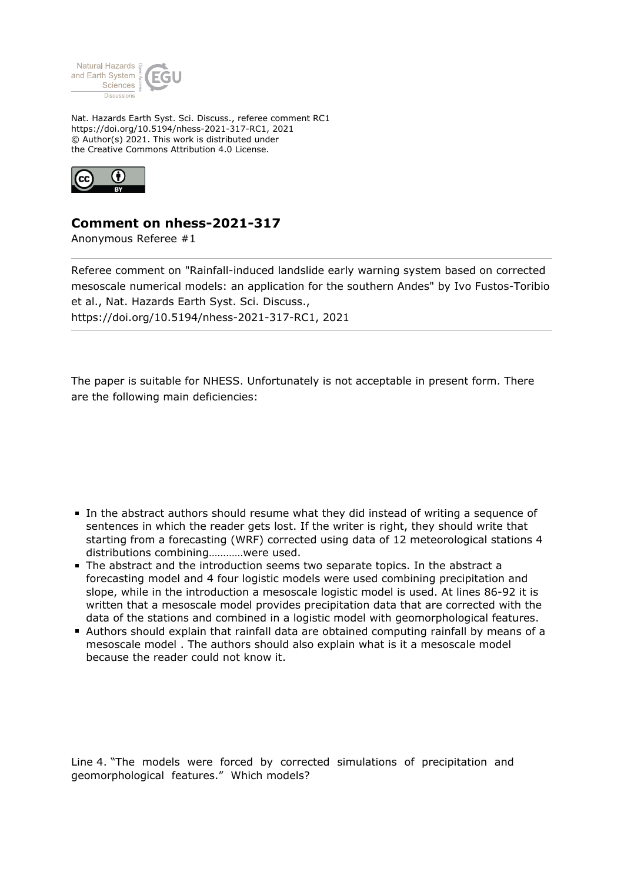

Nat. Hazards Earth Syst. Sci. Discuss., referee comment RC1 https://doi.org/10.5194/nhess-2021-317-RC1, 2021 © Author(s) 2021. This work is distributed under the Creative Commons Attribution 4.0 License.



## **Comment on nhess-2021-317**

Anonymous Referee #1

Referee comment on "Rainfall-induced landslide early warning system based on corrected mesoscale numerical models: an application for the southern Andes" by Ivo Fustos-Toribio et al., Nat. Hazards Earth Syst. Sci. Discuss., https://doi.org/10.5194/nhess-2021-317-RC1, 2021

The paper is suitable for NHESS. Unfortunately is not acceptable in present form. There are the following main deficiencies:

- In the abstract authors should resume what they did instead of writing a sequence of sentences in which the reader gets lost. If the writer is right, they should write that starting from a forecasting (WRF) corrected using data of 12 meteorological stations 4 distributions combining…………were used.
- The abstract and the introduction seems two separate topics. In the abstract a forecasting model and 4 four logistic models were used combining precipitation and slope, while in the introduction a mesoscale logistic model is used. At lines 86-92 it is written that a mesoscale model provides precipitation data that are corrected with the data of the stations and combined in a logistic model with geomorphological features.
- Authors should explain that rainfall data are obtained computing rainfall by means of a mesoscale model . The authors should also explain what is it a mesoscale model because the reader could not know it.

Line 4. "The models were forced by corrected simulations of precipitation and geomorphological features." Which models?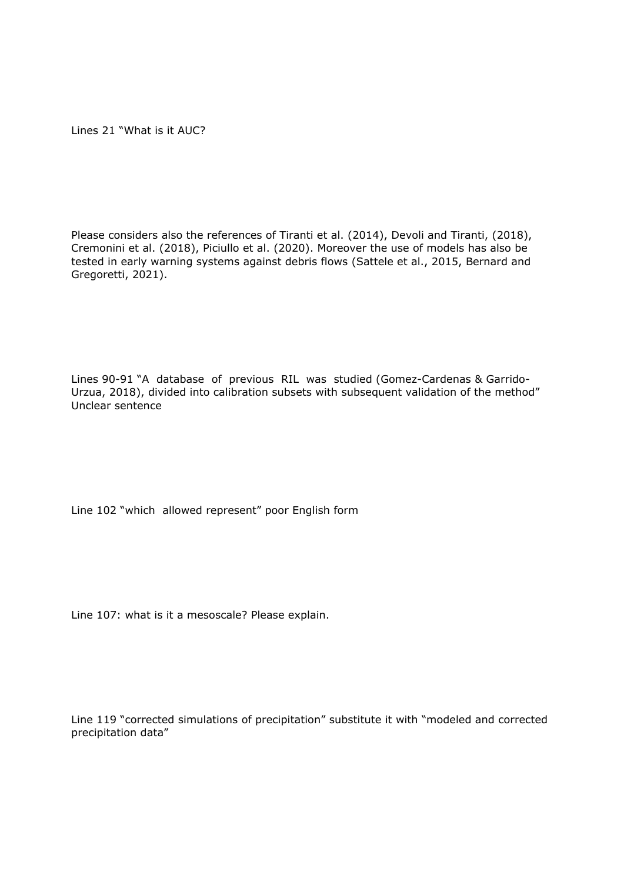Lines 21 "What is it AUC?

Please considers also the references of Tiranti et al. (2014), Devoli and Tiranti, (2018), Cremonini et al. (2018), Piciullo et al. (2020). Moreover the use of models has also be tested in early warning systems against debris flows (Sattele et al., 2015, Bernard and Gregoretti, 2021).

Lines 90-91 "A database of previous RIL was studied (Gomez-Cardenas & Garrido-Urzua, 2018), divided into calibration subsets with subsequent validation of the method" Unclear sentence

Line 102 "which allowed represent" poor English form

Line 107: what is it a mesoscale? Please explain.

Line 119 "corrected simulations of precipitation" substitute it with "modeled and corrected precipitation data"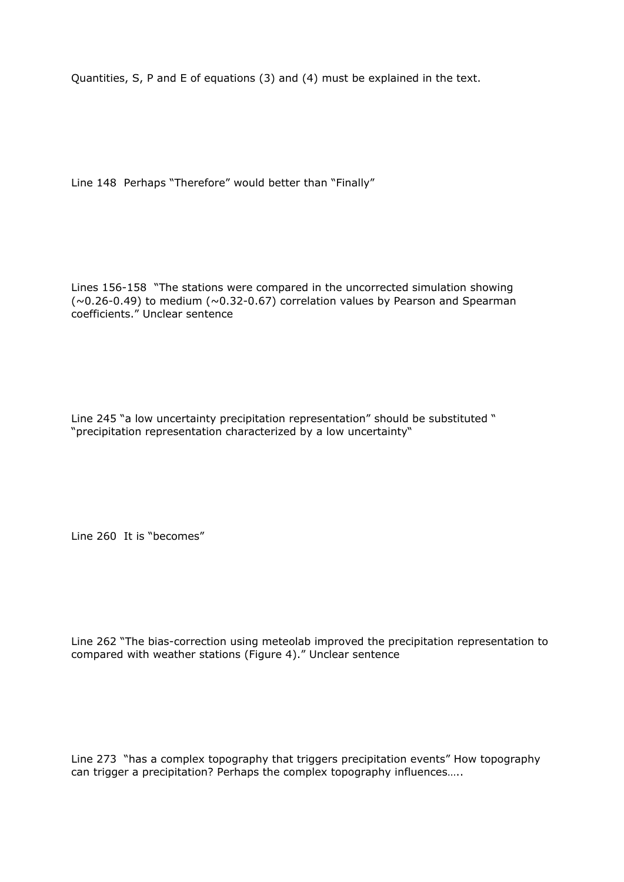Quantities, S, P and E of equations (3) and (4) must be explained in the text.

Line 148 Perhaps "Therefore" would better than "Finally"

Lines 156-158 "The stations were compared in the uncorrected simulation showing  $(\sim 0.26 - 0.49)$  to medium  $(\sim 0.32 - 0.67)$  correlation values by Pearson and Spearman coefficients." Unclear sentence

Line 245 "a low uncertainty precipitation representation" should be substituted " "precipitation representation characterized by a low uncertainty"

Line 260 It is "becomes"

Line 262 "The bias-correction using meteolab improved the precipitation representation to compared with weather stations (Figure 4)." Unclear sentence

Line 273 "has a complex topography that triggers precipitation events" How topography can trigger a precipitation? Perhaps the complex topography influences…..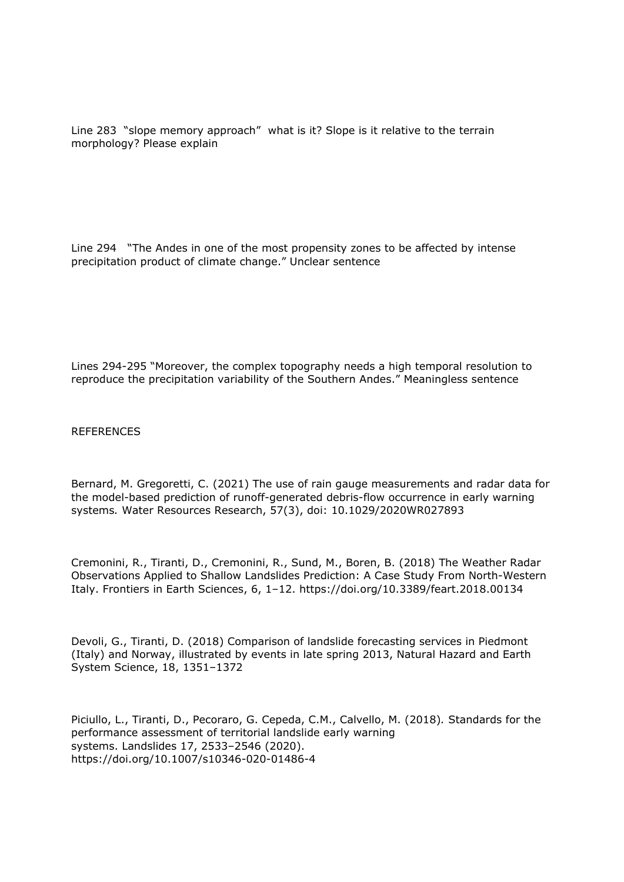Line 283 "slope memory approach" what is it? Slope is it relative to the terrain morphology? Please explain

Line 294 "The Andes in one of the most propensity zones to be affected by intense precipitation product of climate change." Unclear sentence

Lines 294-295 "Moreover, the complex topography needs a high temporal resolution to reproduce the precipitation variability of the Southern Andes." Meaningless sentence

REFERENCES

Bernard, M. Gregoretti, C. (2021) The use of rain gauge measurements and radar data for the model-based prediction of runoff-generated debris-flow occurrence in early warning systems*.* Water Resources Research, 57(3), doi: 10.1029/2020WR027893

Cremonini, R., Tiranti, D., Cremonini, R., Sund, M., Boren, B. (2018) The Weather Radar Observations Applied to Shallow Landslides Prediction: A Case Study From North-Western Italy. Frontiers in Earth Sciences, 6, 1–12. https://doi.org/10.3389/feart.2018.00134

Devoli, G., Tiranti, D. (2018) Comparison of landslide forecasting services in Piedmont (Italy) and Norway, illustrated by events in late spring 2013, Natural Hazard and Earth System Science, 18, 1351–1372

Piciullo, L., Tiranti, D., Pecoraro, G. Cepeda, C.M., Calvello, M. (2018)*.* Standards for the performance assessment of territorial landslide early warning systems. Landslides 17, 2533–2546 (2020). https://doi.org/10.1007/s10346-020-01486-4